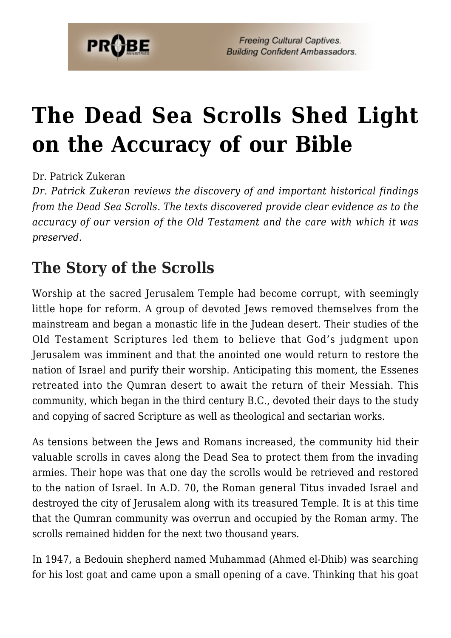

# **[The Dead Sea Scrolls Shed Light](https://probe.org/the-dead-sea-scrolls/) [on the Accuracy of our Bible](https://probe.org/the-dead-sea-scrolls/)**

#### Dr. Patrick Zukeran

*Dr. Patrick Zukeran reviews the discovery of and important historical findings from the Dead Sea Scrolls. The texts discovered provide clear evidence as to the accuracy of our version of the Old Testament and the care with which it was preserved.*

#### **The Story of the Scrolls**

Worship at the sacred Jerusalem Temple had become corrupt, with seemingly little hope for reform. A group of devoted Jews removed themselves from the mainstream and began a monastic life in the Judean desert. Their studies of the Old Testament Scriptures led them to believe that God's judgment upon Jerusalem was imminent and that the anointed one would return to restore the nation of Israel and purify their worship. Anticipating this moment, the Essenes retreated into the Qumran desert to await the return of their Messiah. This community, which began in the third century B.C., devoted their days to the study and copying of sacred Scripture as well as theological and sectarian works.

As tensions between the Jews and Romans increased, the community hid their valuable scrolls in caves along the Dead Sea to protect them from the invading armies. Their hope was that one day the scrolls would be retrieved and restored to the nation of Israel. In A.D. 70, the Roman general Titus invaded Israel and destroyed the city of Jerusalem along with its treasured Temple. It is at this time that the Qumran community was overrun and occupied by the Roman army. The scrolls remained hidden for the next two thousand years.

In 1947, a Bedouin shepherd named Muhammad (Ahmed el-Dhib) was searching for his lost goat and came upon a small opening of a cave. Thinking that his goat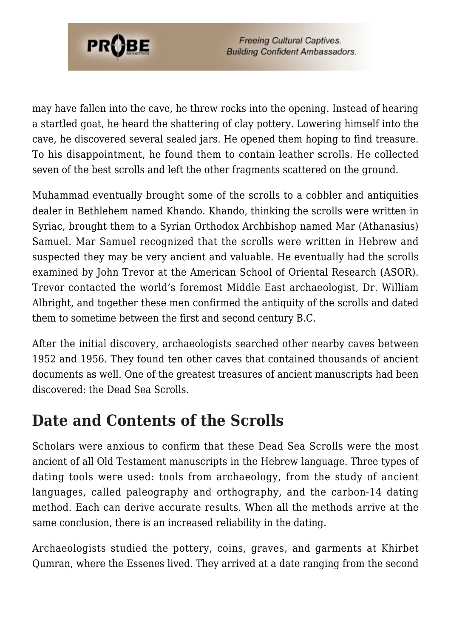

**Freeing Cultural Captives. Building Confident Ambassadors.** 

may have fallen into the cave, he threw rocks into the opening. Instead of hearing a startled goat, he heard the shattering of clay pottery. Lowering himself into the cave, he discovered several sealed jars. He opened them hoping to find treasure. To his disappointment, he found them to contain leather scrolls. He collected seven of the best scrolls and left the other fragments scattered on the ground.

Muhammad eventually brought some of the scrolls to a cobbler and antiquities dealer in Bethlehem named Khando. Khando, thinking the scrolls were written in Syriac, brought them to a Syrian Orthodox Archbishop named Mar (Athanasius) Samuel. Mar Samuel recognized that the scrolls were written in Hebrew and suspected they may be very ancient and valuable. He eventually had the scrolls examined by John Trevor at the American School of Oriental Research (ASOR). Trevor contacted the world's foremost Middle East archaeologist, Dr. William Albright, and together these men confirmed the antiquity of the scrolls and dated them to sometime between the first and second century B.C.

After the initial discovery, archaeologists searched other nearby caves between 1952 and 1956. They found ten other caves that contained thousands of ancient documents as well. One of the greatest treasures of ancient manuscripts had been discovered: the Dead Sea Scrolls.

#### **Date and Contents of the Scrolls**

Scholars were anxious to confirm that these Dead Sea Scrolls were the most ancient of all Old Testament manuscripts in the Hebrew language. Three types of dating tools were used: tools from archaeology, from the study of ancient languages, called paleography and orthography, and the carbon-14 dating method. Each can derive accurate results. When all the methods arrive at the same conclusion, there is an increased reliability in the dating.

Archaeologists studied the pottery, coins, graves, and garments at Khirbet Qumran, where the Essenes lived. They arrived at a date ranging from the second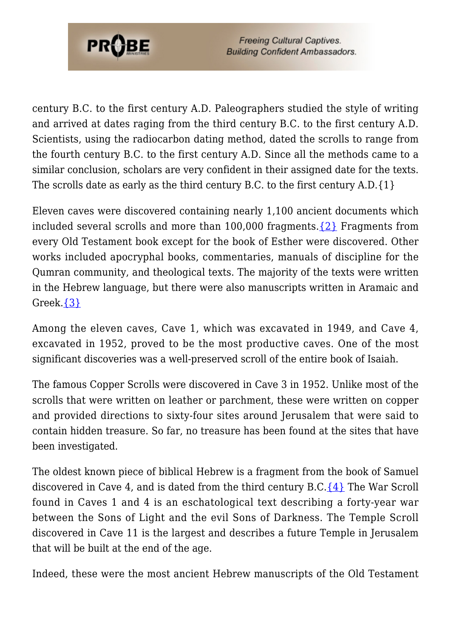

**Freeing Cultural Captives. Building Confident Ambassadors.** 

century B.C. to the first century A.D. Paleographers studied the style of writing and arrived at dates raging from the third century B.C. to the first century A.D. Scientists, using the radiocarbon dating method, dated the scrolls to range from the fourth century B.C. to the first century A.D. Since all the methods came to a similar conclusion, scholars are very confident in their assigned date for the texts. The scrolls date as early as the third century B.C. to the first century A.D.{1}

Eleven caves were discovered containing nearly 1,100 ancient documents which included several scrolls and more than  $100,000$  fragments.  $\{2\}$  Fragments from every Old Testament book except for the book of Esther were discovered. Other works included apocryphal books, commentaries, manuals of discipline for the Qumran community, and theological texts. The majority of the texts were written in the Hebrew language, but there were also manuscripts written in Aramaic and Greek.[{3}](#page-10-1)

Among the eleven caves, Cave 1, which was excavated in 1949, and Cave 4, excavated in 1952, proved to be the most productive caves. One of the most significant discoveries was a well-preserved scroll of the entire book of Isaiah.

The famous Copper Scrolls were discovered in Cave 3 in 1952. Unlike most of the scrolls that were written on leather or parchment, these were written on copper and provided directions to sixty-four sites around Jerusalem that were said to contain hidden treasure. So far, no treasure has been found at the sites that have been investigated.

The oldest known piece of biblical Hebrew is a fragment from the book of Samuel discovered in Cave 4, and is dated from the third century B.C. $\{4\}$  The War Scroll found in Caves 1 and 4 is an eschatological text describing a forty-year war between the Sons of Light and the evil Sons of Darkness. The Temple Scroll discovered in Cave 11 is the largest and describes a future Temple in Jerusalem that will be built at the end of the age.

Indeed, these were the most ancient Hebrew manuscripts of the Old Testament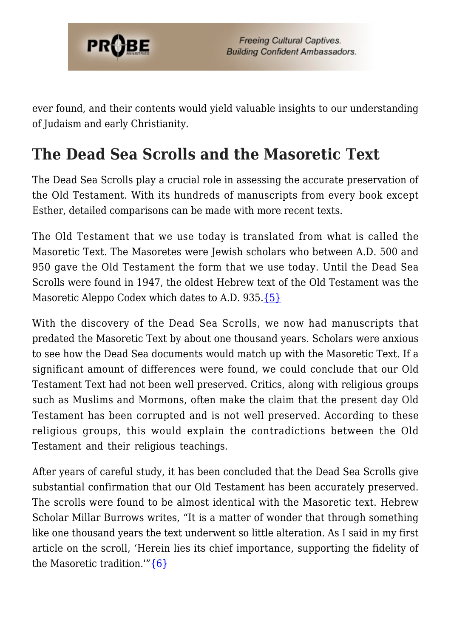

ever found, and their contents would yield valuable insights to our understanding of Judaism and early Christianity.

### **The Dead Sea Scrolls and the Masoretic Text**

The Dead Sea Scrolls play a crucial role in assessing the accurate preservation of the Old Testament. With its hundreds of manuscripts from every book except Esther, detailed comparisons can be made with more recent texts.

The Old Testament that we use today is translated from what is called the Masoretic Text. The Masoretes were Jewish scholars who between A.D. 500 and 950 gave the Old Testament the form that we use today. Until the Dead Sea Scrolls were found in 1947, the oldest Hebrew text of the Old Testament was the Masoretic Aleppo Codex which dates to A.D. 935. [{5}](#page-10-3)

With the discovery of the Dead Sea Scrolls, we now had manuscripts that predated the Masoretic Text by about one thousand years. Scholars were anxious to see how the Dead Sea documents would match up with the Masoretic Text. If a significant amount of differences were found, we could conclude that our Old Testament Text had not been well preserved. Critics, along with religious groups such as Muslims and Mormons, often make the claim that the present day Old Testament has been corrupted and is not well preserved. According to these religious groups, this would explain the contradictions between the Old Testament and their religious teachings.

After years of careful study, it has been concluded that the Dead Sea Scrolls give substantial confirmation that our Old Testament has been accurately preserved. The scrolls were found to be almost identical with the Masoretic text. Hebrew Scholar Millar Burrows writes, "It is a matter of wonder that through something like one thousand years the text underwent so little alteration. As I said in my first article on the scroll, 'Herein lies its chief importance, supporting the fidelity of the Masoretic tradition.'"[{6}](#page-10-4)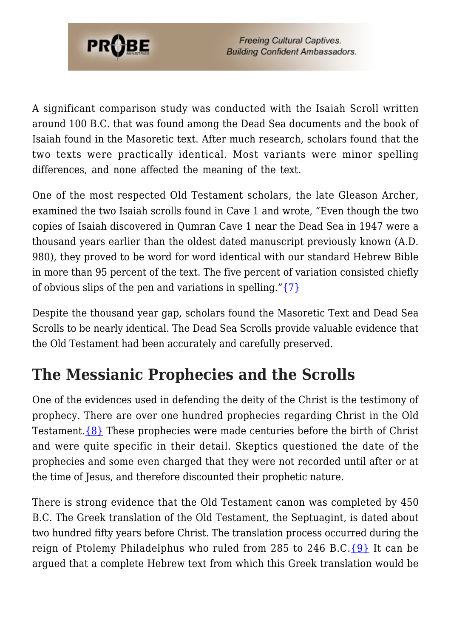

A significant comparison study was conducted with the Isaiah Scroll written around 100 B.C. that was found among the Dead Sea documents and the book of Isaiah found in the Masoretic text. After much research, scholars found that the two texts were practically identical. Most variants were minor spelling differences, and none affected the meaning of the text.

One of the most respected Old Testament scholars, the late Gleason Archer, examined the two Isaiah scrolls found in Cave 1 and wrote, "Even though the two copies of Isaiah discovered in Qumran Cave 1 near the Dead Sea in 1947 were a thousand years earlier than the oldest dated manuscript previously known (A.D. 980), they proved to be word for word identical with our standard Hebrew Bible in more than 95 percent of the text. The five percent of variation consisted chiefly of obvious slips of the pen and variations in spelling.["{7}](#page-10-5)

Despite the thousand year gap, scholars found the Masoretic Text and Dead Sea Scrolls to be nearly identical. The Dead Sea Scrolls provide valuable evidence that the Old Testament had been accurately and carefully preserved.

## **The Messianic Prophecies and the Scrolls**

One of the evidences used in defending the deity of the Christ is the testimony of prophecy. There are over one hundred prophecies regarding Christ in the Old Testament. $\{8\}$  These prophecies were made centuries before the birth of Christ and were quite specific in their detail. Skeptics questioned the date of the prophecies and some even charged that they were not recorded until after or at the time of Jesus, and therefore discounted their prophetic nature.

There is strong evidence that the Old Testament canon was completed by 450 B.C. The Greek translation of the Old Testament, the Septuagint, is dated about two hundred fifty years before Christ. The translation process occurred during the reign of Ptolemy Philadelphus who ruled from 285 to 246 B.C. $\{9\}$  It can be argued that a complete Hebrew text from which this Greek translation would be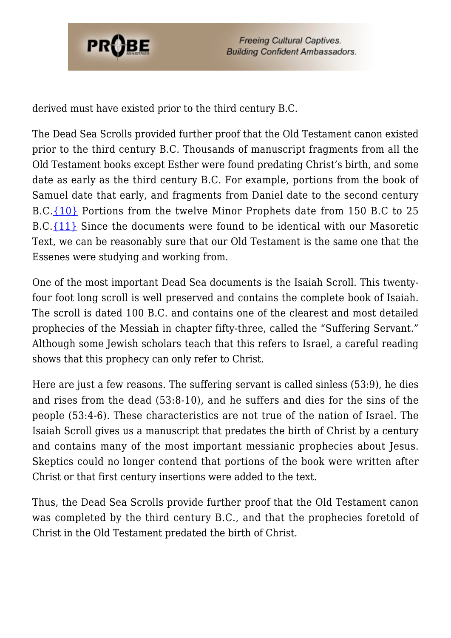

derived must have existed prior to the third century B.C.

The Dead Sea Scrolls provided further proof that the Old Testament canon existed prior to the third century B.C. Thousands of manuscript fragments from all the Old Testament books except Esther were found predating Christ's birth, and some date as early as the third century B.C. For example, portions from the book of Samuel date that early, and fragments from Daniel date to the second century B.C.[{10}](#page-10-8) Portions from the twelve Minor Prophets date from 150 B.C to 25 B.C.[{11}](#page-10-9) Since the documents were found to be identical with our Masoretic Text, we can be reasonably sure that our Old Testament is the same one that the Essenes were studying and working from.

One of the most important Dead Sea documents is the Isaiah Scroll. This twentyfour foot long scroll is well preserved and contains the complete book of Isaiah. The scroll is dated 100 B.C. and contains one of the clearest and most detailed prophecies of the Messiah in chapter fifty-three, called the "Suffering Servant." Although some Jewish scholars teach that this refers to Israel, a careful reading shows that this prophecy can only refer to Christ.

Here are just a few reasons. The suffering servant is called sinless (53:9), he dies and rises from the dead (53:8-10), and he suffers and dies for the sins of the people (53:4-6). These characteristics are not true of the nation of Israel. The Isaiah Scroll gives us a manuscript that predates the birth of Christ by a century and contains many of the most important messianic prophecies about Jesus. Skeptics could no longer contend that portions of the book were written after Christ or that first century insertions were added to the text.

Thus, the Dead Sea Scrolls provide further proof that the Old Testament canon was completed by the third century B.C., and that the prophecies foretold of Christ in the Old Testament predated the birth of Christ.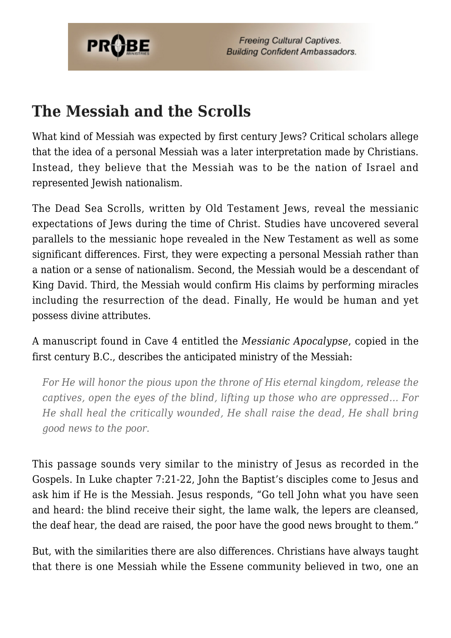

#### **The Messiah and the Scrolls**

What kind of Messiah was expected by first century Jews? Critical scholars allege that the idea of a personal Messiah was a later interpretation made by Christians. Instead, they believe that the Messiah was to be the nation of Israel and represented Jewish nationalism.

The Dead Sea Scrolls, written by Old Testament Jews, reveal the messianic expectations of Jews during the time of Christ. Studies have uncovered several parallels to the messianic hope revealed in the New Testament as well as some significant differences. First, they were expecting a personal Messiah rather than a nation or a sense of nationalism. Second, the Messiah would be a descendant of King David. Third, the Messiah would confirm His claims by performing miracles including the resurrection of the dead. Finally, He would be human and yet possess divine attributes.

A manuscript found in Cave 4 entitled the *Messianic Apocalypse*, copied in the first century B.C., describes the anticipated ministry of the Messiah:

*For He will honor the pious upon the throne of His eternal kingdom, release the captives, open the eyes of the blind, lifting up those who are oppressed… For He shall heal the critically wounded, He shall raise the dead, He shall bring good news to the poor.*

This passage sounds very similar to the ministry of Jesus as recorded in the Gospels. In Luke chapter 7:21-22, John the Baptist's disciples come to Jesus and ask him if He is the Messiah. Jesus responds, "Go tell John what you have seen and heard: the blind receive their sight, the lame walk, the lepers are cleansed, the deaf hear, the dead are raised, the poor have the good news brought to them."

But, with the similarities there are also differences. Christians have always taught that there is one Messiah while the Essene community believed in two, one an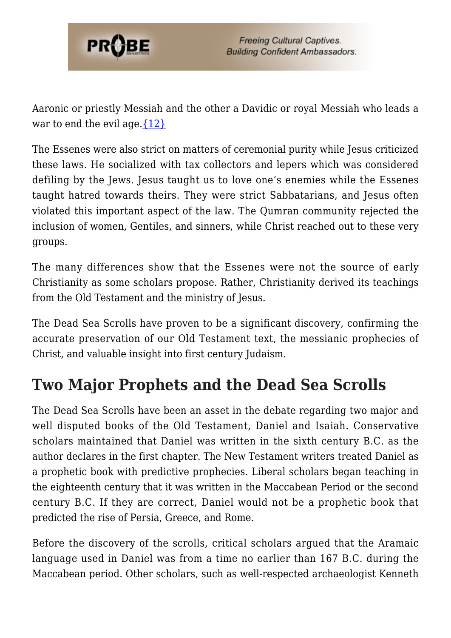

Aaronic or priestly Messiah and the other a Davidic or royal Messiah who leads a war to end the evil age. $\{12\}$ 

The Essenes were also strict on matters of ceremonial purity while Jesus criticized these laws. He socialized with tax collectors and lepers which was considered defiling by the Jews. Jesus taught us to love one's enemies while the Essenes taught hatred towards theirs. They were strict Sabbatarians, and Jesus often violated this important aspect of the law. The Qumran community rejected the inclusion of women, Gentiles, and sinners, while Christ reached out to these very groups.

The many differences show that the Essenes were not the source of early Christianity as some scholars propose. Rather, Christianity derived its teachings from the Old Testament and the ministry of Jesus.

The Dead Sea Scrolls have proven to be a significant discovery, confirming the accurate preservation of our Old Testament text, the messianic prophecies of Christ, and valuable insight into first century Judaism.

## **Two Major Prophets and the Dead Sea Scrolls**

The Dead Sea Scrolls have been an asset in the debate regarding two major and well disputed books of the Old Testament, Daniel and Isaiah. Conservative scholars maintained that Daniel was written in the sixth century B.C. as the author declares in the first chapter. The New Testament writers treated Daniel as a prophetic book with predictive prophecies. Liberal scholars began teaching in the eighteenth century that it was written in the Maccabean Period or the second century B.C. If they are correct, Daniel would not be a prophetic book that predicted the rise of Persia, Greece, and Rome.

Before the discovery of the scrolls, critical scholars argued that the Aramaic language used in Daniel was from a time no earlier than 167 B.C. during the Maccabean period. Other scholars, such as well-respected archaeologist Kenneth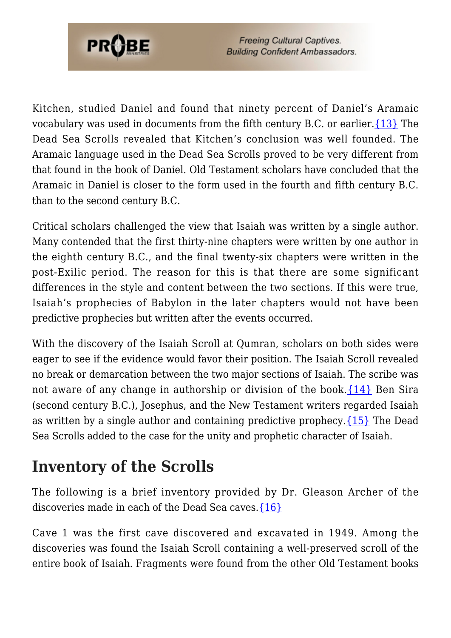

Kitchen, studied Daniel and found that ninety percent of Daniel's Aramaic vocabulary was used in documents from the fifth century B.C. or earlier[.{13}](#page-10-11) The Dead Sea Scrolls revealed that Kitchen's conclusion was well founded. The Aramaic language used in the Dead Sea Scrolls proved to be very different from that found in the book of Daniel. Old Testament scholars have concluded that the Aramaic in Daniel is closer to the form used in the fourth and fifth century B.C. than to the second century B.C.

Critical scholars challenged the view that Isaiah was written by a single author. Many contended that the first thirty-nine chapters were written by one author in the eighth century B.C., and the final twenty-six chapters were written in the post-Exilic period. The reason for this is that there are some significant differences in the style and content between the two sections. If this were true, Isaiah's prophecies of Babylon in the later chapters would not have been predictive prophecies but written after the events occurred.

With the discovery of the Isaiah Scroll at Oumran, scholars on both sides were eager to see if the evidence would favor their position. The Isaiah Scroll revealed no break or demarcation between the two major sections of Isaiah. The scribe was not aware of any change in authorship or division of the book.  $\{14\}$  Ben Sira (second century B.C.), Josephus, and the New Testament writers regarded Isaiah as written by a single author and containing predictive prophecy.  $\{15\}$  The Dead Sea Scrolls added to the case for the unity and prophetic character of Isaiah.

#### **Inventory of the Scrolls**

The following is a brief inventory provided by Dr. Gleason Archer of the discoveries made in each of the Dead Sea caves. $\{16\}$ 

Cave 1 was the first cave discovered and excavated in 1949. Among the discoveries was found the Isaiah Scroll containing a well-preserved scroll of the entire book of Isaiah. Fragments were found from the other Old Testament books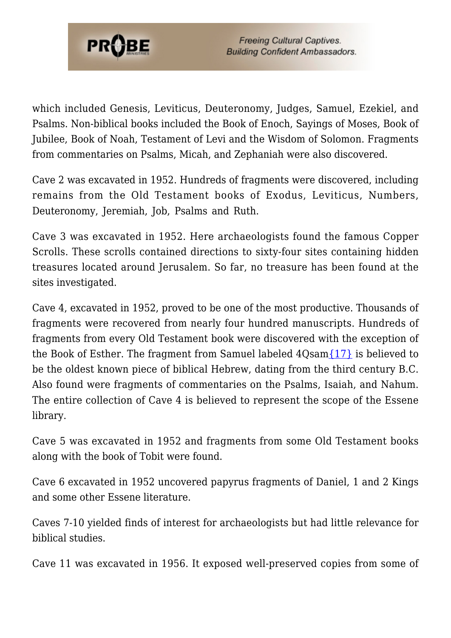

which included Genesis, Leviticus, Deuteronomy, Judges, Samuel, Ezekiel, and Psalms. Non-biblical books included the Book of Enoch, Sayings of Moses, Book of Jubilee, Book of Noah, Testament of Levi and the Wisdom of Solomon. Fragments from commentaries on Psalms, Micah, and Zephaniah were also discovered.

Cave 2 was excavated in 1952. Hundreds of fragments were discovered, including remains from the Old Testament books of Exodus, Leviticus, Numbers, Deuteronomy, Jeremiah, Job, Psalms and Ruth.

Cave 3 was excavated in 1952. Here archaeologists found the famous Copper Scrolls. These scrolls contained directions to sixty-four sites containing hidden treasures located around Jerusalem. So far, no treasure has been found at the sites investigated.

Cave 4, excavated in 1952, proved to be one of the most productive. Thousands of fragments were recovered from nearly four hundred manuscripts. Hundreds of fragments from every Old Testament book were discovered with the exception of the Book of Esther. The fragment from Samuel labeled  $4O\text{sam}$  [{17}](#page-11-0) is believed to be the oldest known piece of biblical Hebrew, dating from the third century B.C. Also found were fragments of commentaries on the Psalms, Isaiah, and Nahum. The entire collection of Cave 4 is believed to represent the scope of the Essene library.

Cave 5 was excavated in 1952 and fragments from some Old Testament books along with the book of Tobit were found.

Cave 6 excavated in 1952 uncovered papyrus fragments of Daniel, 1 and 2 Kings and some other Essene literature.

Caves 7-10 yielded finds of interest for archaeologists but had little relevance for biblical studies.

Cave 11 was excavated in 1956. It exposed well-preserved copies from some of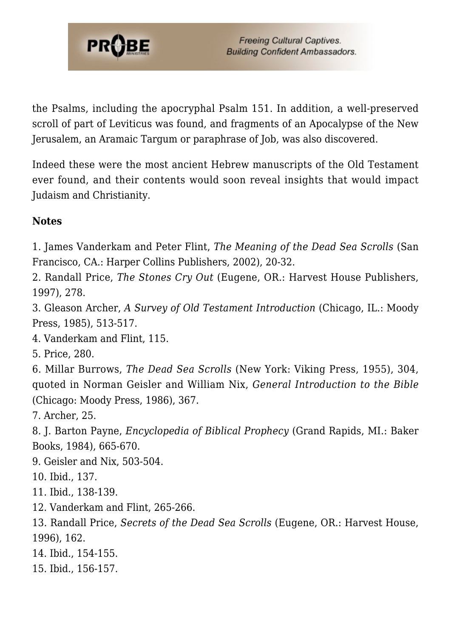

the Psalms, including the apocryphal Psalm 151. In addition, a well-preserved scroll of part of Leviticus was found, and fragments of an Apocalypse of the New Jerusalem, an Aramaic Targum or paraphrase of Job, was also discovered.

Indeed these were the most ancient Hebrew manuscripts of the Old Testament ever found, and their contents would soon reveal insights that would impact Judaism and Christianity.

#### **Notes**

1. James Vanderkam and Peter Flint, *The Meaning of the Dead Sea Scrolls* (San Francisco, CA.: Harper Collins Publishers, 2002), 20-32.

<span id="page-10-0"></span>2. Randall Price, *The Stones Cry Out* (Eugene, OR.: Harvest House Publishers, 1997), 278.

<span id="page-10-1"></span>3. Gleason Archer, *A Survey of Old Testament Introduction* (Chicago, IL.: Moody Press, 1985), 513-517.

<span id="page-10-2"></span>4. Vanderkam and Flint, 115.

<span id="page-10-3"></span>5. Price, 280.

<span id="page-10-4"></span>6. Millar Burrows, *The Dead Sea Scrolls* (New York: Viking Press, 1955), 304, quoted in Norman Geisler and William Nix, *General Introduction to the Bible* (Chicago: Moody Press, 1986), 367.

<span id="page-10-5"></span>7. Archer, 25.

<span id="page-10-6"></span>8. J. Barton Payne, *Encyclopedia of Biblical Prophecy* (Grand Rapids, MI.: Baker Books, 1984), 665-670.

<span id="page-10-7"></span>9. Geisler and Nix, 503-504.

<span id="page-10-8"></span>10. Ibid., 137.

<span id="page-10-9"></span>11. Ibid., 138-139.

<span id="page-10-10"></span>12. Vanderkam and Flint, 265-266.

<span id="page-10-11"></span>13. Randall Price, *Secrets of the Dead Sea Scrolls* (Eugene, OR.: Harvest House, 1996), 162.

<span id="page-10-12"></span>14. Ibid., 154-155.

<span id="page-10-14"></span><span id="page-10-13"></span>15. Ibid., 156-157.